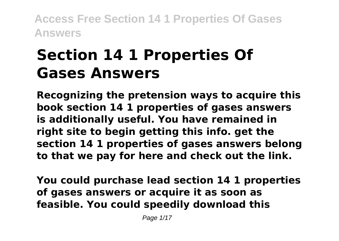# **Section 14 1 Properties Of Gases Answers**

**Recognizing the pretension ways to acquire this book section 14 1 properties of gases answers is additionally useful. You have remained in right site to begin getting this info. get the section 14 1 properties of gases answers belong to that we pay for here and check out the link.**

**You could purchase lead section 14 1 properties of gases answers or acquire it as soon as feasible. You could speedily download this**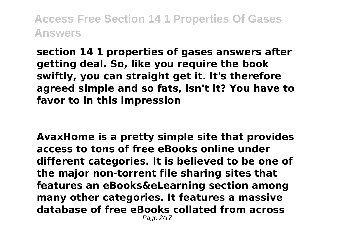**section 14 1 properties of gases answers after getting deal. So, like you require the book swiftly, you can straight get it. It's therefore agreed simple and so fats, isn't it? You have to favor to in this impression**

**AvaxHome is a pretty simple site that provides access to tons of free eBooks online under different categories. It is believed to be one of the major non-torrent file sharing sites that features an eBooks&eLearning section among many other categories. It features a massive database of free eBooks collated from across** Page 2/17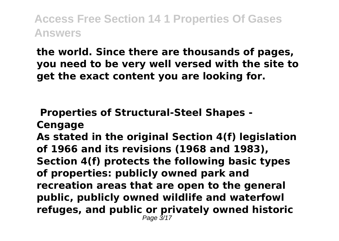**the world. Since there are thousands of pages, you need to be very well versed with the site to get the exact content you are looking for.**

**Properties of Structural-Steel Shapes -**

**Cengage**

**As stated in the original Section 4(f) legislation of 1966 and its revisions (1968 and 1983), Section 4(f) protects the following basic types of properties: publicly owned park and recreation areas that are open to the general public, publicly owned wildlife and waterfowl refuges, and public or privately owned historic** Page 3/17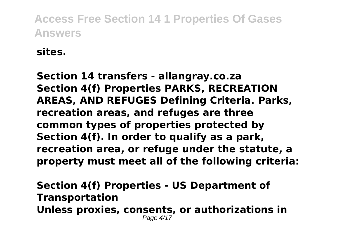**sites.**

**Section 14 transfers - allangray.co.za Section 4(f) Properties PARKS, RECREATION AREAS, AND REFUGES Defining Criteria. Parks, recreation areas, and refuges are three common types of properties protected by Section 4(f). In order to qualify as a park, recreation area, or refuge under the statute, a property must meet all of the following criteria:**

**Section 4(f) Properties - US Department of Transportation Unless proxies, consents, or authorizations in** Page 4/17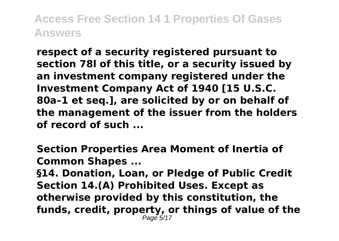**respect of a security registered pursuant to section 78l of this title, or a security issued by an investment company registered under the Investment Company Act of 1940 [15 U.S.C. 80a–1 et seq.], are solicited by or on behalf of the management of the issuer from the holders of record of such ...**

**Section Properties Area Moment of Inertia of Common Shapes ...**

**§14. Donation, Loan, or Pledge of Public Credit Section 14.(A) Prohibited Uses. Except as otherwise provided by this constitution, the funds, credit, property, or things of value of the** Page 5/17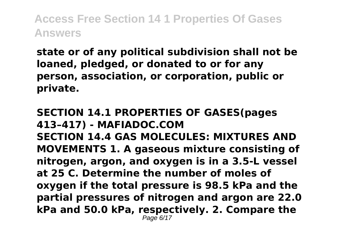**state or of any political subdivision shall not be loaned, pledged, or donated to or for any person, association, or corporation, public or private.**

**SECTION 14.1 PROPERTIES OF GASES(pages 413–417) - MAFIADOC.COM SECTION 14.4 GAS MOLECULES: MIXTURES AND MOVEMENTS 1. A gaseous mixture consisting of nitrogen, argon, and oxygen is in a 3.5-L vessel at 25 C. Determine the number of moles of oxygen if the total pressure is 98.5 kPa and the partial pressures of nitrogen and argon are 22.0 kPa and 50.0 kPa, respectively. 2. Compare the**  $P$ age 6/17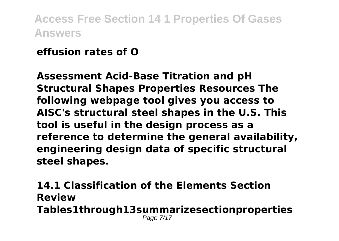### **effusion rates of O**

**Assessment Acid-Base Titration and pH Structural Shapes Properties Resources The following webpage tool gives you access to AISC's structural steel shapes in the U.S. This tool is useful in the design process as a reference to determine the general availability, engineering design data of specific structural steel shapes.**

**14.1 Classification of the Elements Section Review Tables1through13summarizesectionproperties** Page 7/17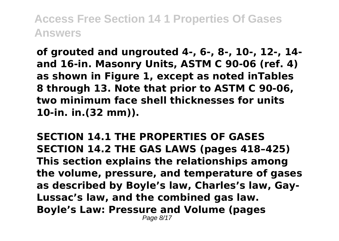**of grouted and ungrouted 4-, 6-, 8-, 10-, 12-, 14 and 16-in. Masonry Units, ASTM C 90-06 (ref. 4) as shown in Figure 1, except as noted inTables 8 through 13. Note that prior to ASTM C 90-06, two minimum face shell thicknesses for units 10-in. in.(32 mm)).**

**SECTION 14.1 THE PROPERTIES OF GASES SECTION 14.2 THE GAS LAWS (pages 418–425) This section explains the relationships among the volume, pressure, and temperature of gases as described by Boyle's law, Charles's law, Gay-Lussac's law, and the combined gas law. Boyle's Law: Pressure and Volume (pages** Page 8/17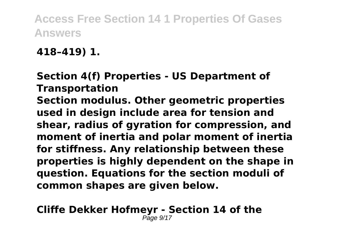**418–419) 1.**

**Section 4(f) Properties - US Department of Transportation Section modulus. Other geometric properties used in design include area for tension and shear, radius of gyration for compression, and moment of inertia and polar moment of inertia for stiffness. Any relationship between these properties is highly dependent on the shape in question. Equations for the section moduli of common shapes are given below.**

**Cliffe Dekker Hofmeyr - Section 14 of the** Page 9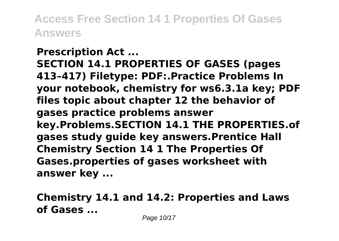**Prescription Act ... SECTION 14.1 PROPERTIES OF GASES (pages 413–417) Filetype: PDF:.Practice Problems In your notebook, chemistry for ws6.3.1a key; PDF files topic about chapter 12 the behavior of gases practice problems answer key.Problems.SECTION 14.1 THE PROPERTIES.of gases study guide key answers.Prentice Hall Chemistry Section 14 1 The Properties Of Gases.properties of gases worksheet with answer key ...**

**Chemistry 14.1 and 14.2: Properties and Laws of Gases ...**

Page 10/17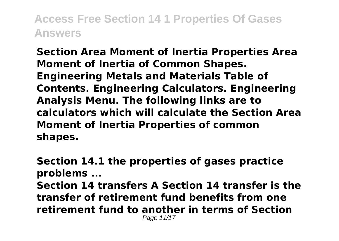**Section Area Moment of Inertia Properties Area Moment of Inertia of Common Shapes. Engineering Metals and Materials Table of Contents. Engineering Calculators. Engineering Analysis Menu. The following links are to calculators which will calculate the Section Area Moment of Inertia Properties of common shapes.**

**Section 14.1 the properties of gases practice problems ... Section 14 transfers A Section 14 transfer is the transfer of retirement fund benefits from one retirement fund to another in terms of Section** Page 11/17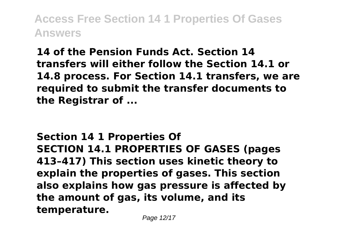**14 of the Pension Funds Act. Section 14 transfers will either follow the Section 14.1 or 14.8 process. For Section 14.1 transfers, we are required to submit the transfer documents to the Registrar of ...**

**Section 14 1 Properties Of SECTION 14.1 PROPERTIES OF GASES (pages 413–417) This section uses kinetic theory to explain the properties of gases. This section also explains how gas pressure is affected by the amount of gas, its volume, and its temperature.**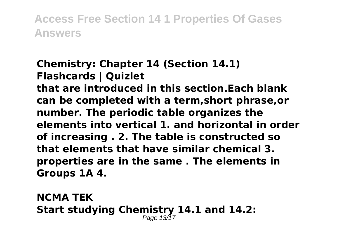#### **Chemistry: Chapter 14 (Section 14.1) Flashcards | Quizlet**

**that are introduced in this section.Each blank can be completed with a term,short phrase,or number. The periodic table organizes the elements into vertical 1. and horizontal in order of increasing . 2. The table is constructed so that elements that have similar chemical 3. properties are in the same . The elements in Groups 1A 4.**

**NCMA TEK Start studying Chemistry 14.1 and 14.2:** Page 13/17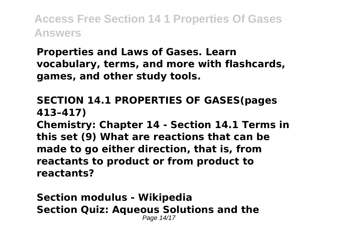**Properties and Laws of Gases. Learn vocabulary, terms, and more with flashcards, games, and other study tools.**

#### **SECTION 14.1 PROPERTIES OF GASES(pages 413–417)**

**Chemistry: Chapter 14 - Section 14.1 Terms in this set (9) What are reactions that can be made to go either direction, that is, from reactants to product or from product to reactants?**

**Section modulus - Wikipedia Section Quiz: Aqueous Solutions and the** Page 14/17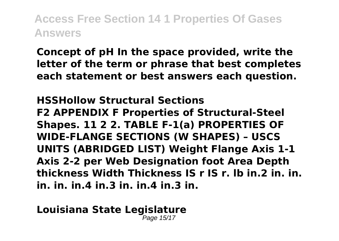**Concept of pH In the space provided, write the letter of the term or phrase that best completes each statement or best answers each question.**

**HSSHollow Structural Sections F2 APPENDIX F Properties of Structural-Steel Shapes. 11 2 2. TABLE F-1(a) PROPERTIES OF WIDE-FLANGE SECTIONS (W SHAPES) – USCS UNITS (ABRIDGED LIST) Weight Flange Axis 1-1 Axis 2-2 per Web Designation foot Area Depth thickness Width Thickness IS r IS r. lb in.2 in. in. in. in. in.4 in.3 in. in.4 in.3 in.**

**Louisiana State Legislature** Page 15/17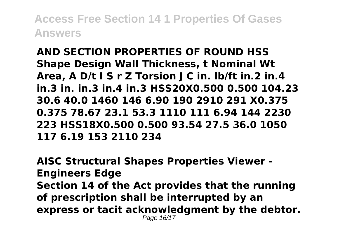**AND SECTION PROPERTIES OF ROUND HSS Shape Design Wall Thickness, t Nominal Wt Area, A D/t I S r Z Torsion J C in. lb/ft in.2 in.4 in.3 in. in.3 in.4 in.3 HSS20X0.500 0.500 104.23 30.6 40.0 1460 146 6.90 190 2910 291 X0.375 0.375 78.67 23.1 53.3 1110 111 6.94 144 2230 223 HSS18X0.500 0.500 93.54 27.5 36.0 1050 117 6.19 153 2110 234**

**AISC Structural Shapes Properties Viewer - Engineers Edge Section 14 of the Act provides that the running of prescription shall be interrupted by an express or tacit acknowledgment by the debtor.** Page 16/17